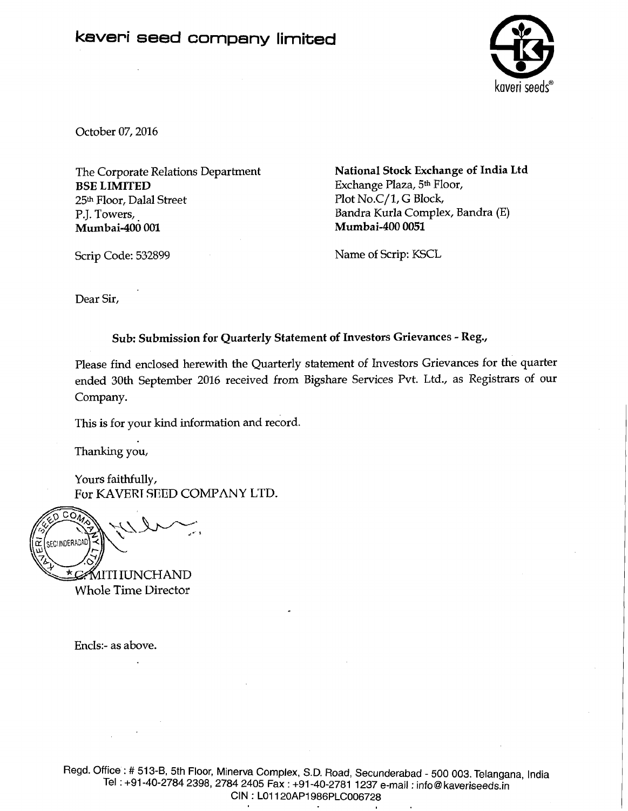# **kaveri seed company limited**



October 07,2016

The Corporate Relations Department BSE LIMITED 25th Floor, Dalal Street P.J. Towers, Mumbai-400 001

National Stock Exchange of India Ltd Exchange Plaza, **5th** Floor, Plot No.C/1, G Block, Bandra Kurla Complex, Bandra (E) **Mumbai-400** 0051

Scrip Code: 532899

Name of Scrip: KSCL

Dear Sir,

## Sub: Submission for Quarterly Statement of Investors Grievances - Reg.,

Please find enclosed herewith the Quarterly statement of Investors Grievances for the quarter ended 30th September 2016 received from Bigshare Services Pvt. Ltd., as Registrars of our Company.

This is for your kind information and record.

Thanking you,

Yours faithfully, Fur KAVERT SEED COMPANY LTD.

 $2\sqrt{2}$ SECUNDERAD <u>\*C</u>: MITI IUNCHAND

Whole Time Director

Enc1s:- as above.

Regd. Office : # 513-B, 5th Floor, Minerva Complex, S.D. Road, Secunderabad - 500 003. Telangana, India Tel : +91-40-2784 2398, 2784 2405 Fax : +91-40-2781 1237 e-mail : info@ kaveriseeds.in CIN : LO1 120AP1986PLC006728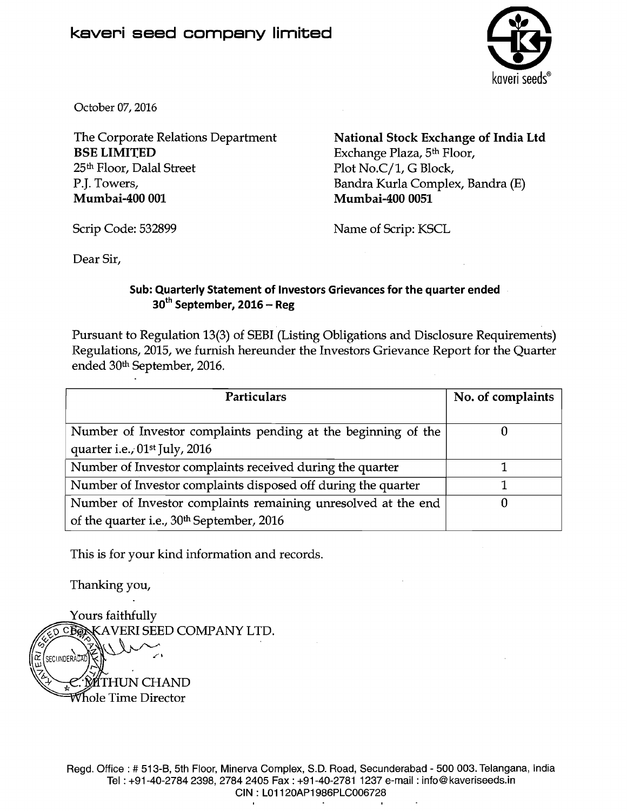

October 07,2016

**BSE LIMITED** Exchange Plaza, 5<sup>th</sup> Floor,<br>
25<sup>th</sup> Floor, Dalal Street Plot No.C/1, G Block, P.J. Towers, Bandra Kurla Complex, Bandra (E)<br> **Mumbai-400 001** Mumbai-400 0051

The Corporate Relations Department **National Stock Exchange of India Ltd**<br>**BSE LIMITED** Exchange Plaza, 5<sup>th</sup> Floor, Plot No.C/1, G Block, Mumbai-400 0051

Scrip Code: 532899 Name of Scrip: KSCL

Dear Sir,

## **Sub: Quarterly Statement of Investors Grievances for the quarter ended 3oth September, 2016** - **Reg**

Pursuant to Regulation 13(3) of SEBI (Listing Obligations and Disclosure Requirements) Regulations, 2015, we furnish hereunder the Investors Grievance Report for the Quarter ended 30th September, 2016.

| <b>Particulars</b>                                            | No. of complaints |
|---------------------------------------------------------------|-------------------|
|                                                               |                   |
| Number of Investor complaints pending at the beginning of the |                   |
| quarter i.e., 01 <sup>st</sup> July, 2016                     |                   |
| Number of Investor complaints received during the quarter     |                   |
| Number of Investor complaints disposed off during the quarter |                   |
| Number of Investor complaints remaining unresolved at the end |                   |
| of the quarter i.e., 30 <sup>th</sup> September, 2016         |                   |

This is for your kind information and records.

Thanking you,